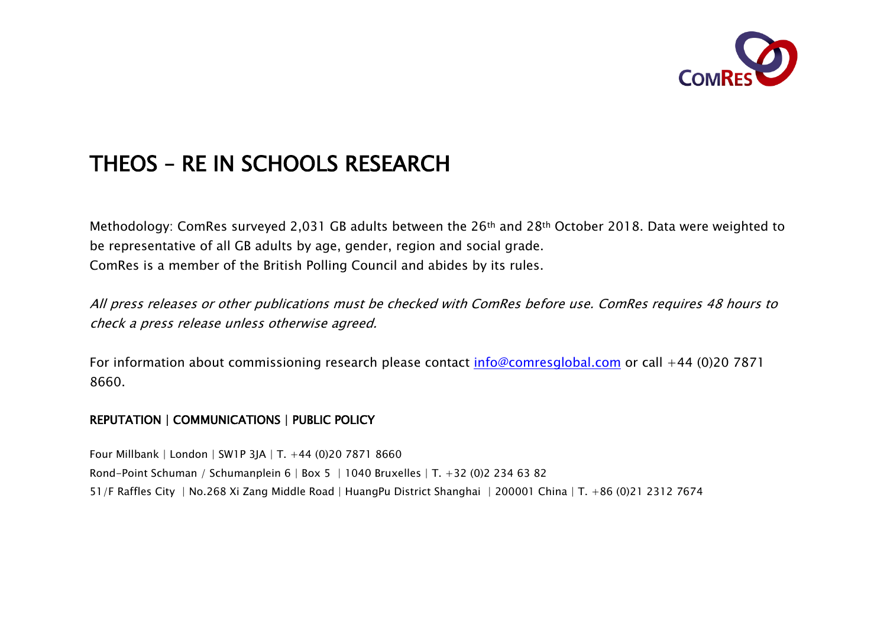

# THEOS – RE IN SCHOOLS RESEARCH

Methodology: ComRes surveyed 2,031 GB adults between the 26th and 28th October 2018. Data were weighted to be representative of all GB adults by age, gender, region and social grade. ComRes is a member of the British Polling Council and abides by its rules.

All press releases or other publications must be checked with ComRes before use. ComRes requires 48 hours to check a press release unless otherwise agreed.

For information about commissioning research please contact  $info@comesglobal.com$  or call +44 (0)20 7871 8660.

## REPUTATION | COMMUNICATIONS | PUBLIC POLICY

Four Millbank | London | SW1P 3JA | T. +44 (0)20 7871 8660 Rond-Point Schuman / Schumanplein 6 | Box 5 | 1040 Bruxelles | T. +32 (0)2 234 63 82 51/F Raffles City | No.268 Xi Zang Middle Road | HuangPu District Shanghai | 200001 China | T. +86 (0)21 2312 7674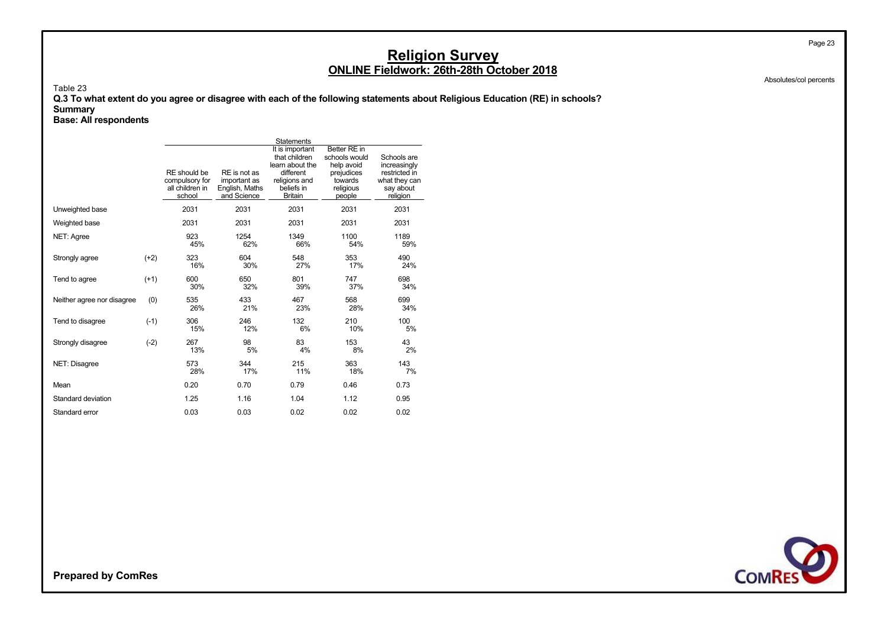Absolutes/col percents

Page 23

#### Table 23

**Q.3 To what extent do you agree or disagree with each of the following statements about Religious Education (RE) in schools? Summary**

**Base: All respondents**

|                            |        |                                                             |                                                               | <b>Statements</b>                                                                                                 |                                                                                             |                                                                                        |
|----------------------------|--------|-------------------------------------------------------------|---------------------------------------------------------------|-------------------------------------------------------------------------------------------------------------------|---------------------------------------------------------------------------------------------|----------------------------------------------------------------------------------------|
|                            |        | RE should be<br>compulsory for<br>all children in<br>school | RE is not as<br>important as<br>English, Maths<br>and Science | It is important<br>that children<br>learn about the<br>different<br>religions and<br>beliefs in<br><b>Britain</b> | Better RE in<br>schools would<br>help avoid<br>prejudices<br>towards<br>religious<br>people | Schools are<br>increasingly<br>restricted in<br>what they can<br>say about<br>religion |
| Unweighted base            |        | 2031                                                        | 2031                                                          | 2031                                                                                                              | 2031                                                                                        | 2031                                                                                   |
| Weighted base              |        | 2031                                                        | 2031                                                          | 2031                                                                                                              | 2031                                                                                        | 2031                                                                                   |
| <b>NET: Agree</b>          |        | 923<br>45%                                                  | 1254<br>62%                                                   | 1349<br>66%                                                                                                       | 1100<br>54%                                                                                 | 1189<br>59%                                                                            |
| Strongly agree             | $(+2)$ | 323<br>16%                                                  | 604<br>30%                                                    | 548<br>27%                                                                                                        | 353<br>17%                                                                                  | 490<br>24%                                                                             |
| Tend to agree              | $(+1)$ | 600<br>30%                                                  | 650<br>32%                                                    | 801<br>39%                                                                                                        | 747<br>37%                                                                                  | 698<br>34%                                                                             |
| Neither agree nor disagree | (0)    | 535<br>26%                                                  | 433<br>21%                                                    | 467<br>23%                                                                                                        | 568<br>28%                                                                                  | 699<br>34%                                                                             |
| Tend to disagree           | $(-1)$ | 306<br>15%                                                  | 246<br>12%                                                    | 132<br>6%                                                                                                         | 210<br>10%                                                                                  | 100<br>5%                                                                              |
| Strongly disagree          | $(-2)$ | 267<br>13%                                                  | 98<br>5%                                                      | 83<br>4%                                                                                                          | 153<br>8%                                                                                   | 43<br>2%                                                                               |
| NET: Disagree              |        | 573<br>28%                                                  | 344<br>17%                                                    | 215<br>11%                                                                                                        | 363<br>18%                                                                                  | 143<br>7%                                                                              |
| Mean                       |        | 0.20                                                        | 0.70                                                          | 0.79                                                                                                              | 0.46                                                                                        | 0.73                                                                                   |
| Standard deviation         |        | 1.25                                                        | 1.16                                                          | 1.04                                                                                                              | 1.12                                                                                        | 0.95                                                                                   |
| Standard error             |        | 0.03                                                        | 0.03                                                          | 0.02                                                                                                              | 0.02                                                                                        | 0.02                                                                                   |

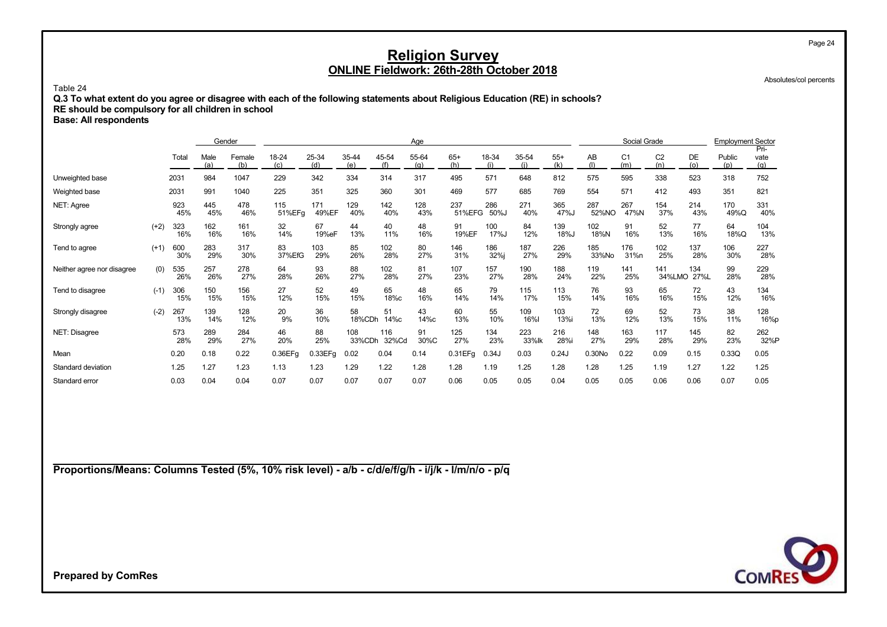Absolutes/col percents

Page 24

Table 24

**Q.3 To what extent do you agree or disagree with each of the following statements about Religious Education (RE) in schools?**

**RE should be compulsory for all children in school**

**Base: All respondents**

|                            |        |            | Gender      |               |               |              |               |              | Age          |               |              |              |              |              | Social Grade          |                       |                  | <b>Employment Sector</b> | Pri-        |
|----------------------------|--------|------------|-------------|---------------|---------------|--------------|---------------|--------------|--------------|---------------|--------------|--------------|--------------|--------------|-----------------------|-----------------------|------------------|--------------------------|-------------|
|                            |        | Total      | Male<br>(a) | Female<br>(b) | 18-24<br>(c)  | 25-34<br>(d) | 35-44<br>(e)  | 45-54<br>(f) | 55-64<br>(a) | $65+$<br>(h)  | 18-34<br>(i) | 35-54        | $55+$<br>(k) | AB<br>(1)    | C <sub>1</sub><br>(m) | C <sub>2</sub><br>(n) | <b>DE</b><br>(O) | Public<br>(p)            | vate<br>(a) |
| Unweighted base            |        | 2031       | 984         | 1047          | 229           | 342          | 334           | 314          | 317          | 495           | 571          | 648          | 812          | 575          | 595                   | 338                   | 523              | 318                      | 752         |
| Weighted base              |        | 2031       | 991         | 1040          | 225           | 351          | 325           | 360          | 301          | 469           | 577          | 685          | 769          | 554          | 571                   | 412                   | 493              | 351                      | 821         |
| NET: Agree                 |        | 923<br>45% | 445<br>45%  | 478<br>46%    | 115<br>51%EFg | 171<br>49%EF | 129<br>40%    | 142<br>40%   | 128<br>43%   | 237<br>51%EFG | 286<br>50%J  | 271<br>40%   | 365<br>47%J  | 287<br>52%NO | 267<br>47%N           | 154<br>37%            | 214<br>43%       | 170<br>49%Q              | 331<br>40%  |
| Strongly agree             | $(+2)$ | 323<br>16% | 162<br>16%  | 161<br>16%    | 32<br>14%     | 67<br>19%eF  | 44<br>13%     | 40<br>11%    | 48<br>16%    | 91<br>19%EF   | 100<br>17%J  | 84<br>12%    | 139<br>18%J  | 102<br>18%N  | 91<br>16%             | 52<br>13%             | 77<br>16%        | 64<br>18%Q               | 104<br>13%  |
| Tend to agree              | $(+1)$ | 600<br>30% | 283<br>29%  | 317<br>30%    | 83<br>37%EfG  | 103<br>29%   | 85<br>26%     | 102<br>28%   | 80<br>27%    | 146<br>31%    | 186<br>32%i  | 187<br>27%   | 226<br>29%   | 185<br>33%No | 176<br>31%n           | 102<br>25%            | 137<br>28%       | 106<br>30%               | 227<br>28%  |
| Neither agree nor disagree | (0)    | 535<br>26% | 257<br>26%  | 278<br>27%    | 64<br>28%     | 93<br>26%    | 88<br>27%     | 102<br>28%   | 81<br>27%    | 107<br>23%    | 157<br>27%   | 190<br>28%   | 188<br>24%   | 119<br>22%   | 141<br>25%            | 141<br>34%LMO         | 134<br>27%L      | 99<br>28%                | 229<br>28%  |
| Tend to disagree           | $(-1)$ | 306<br>15% | 150<br>15%  | 156<br>15%    | 27<br>12%     | 52<br>15%    | 49<br>15%     | 65<br>18%c   | 48<br>16%    | 65<br>14%     | 79<br>14%    | 115<br>17%   | 113<br>15%   | 76<br>14%    | 93<br>16%             | 65<br>16%             | 72<br>15%        | 43<br>12%                | 134<br>16%  |
| Strongly disagree          | $(-2)$ | 267<br>13% | 139<br>14%  | 128<br>12%    | 20<br>9%      | 36<br>10%    | 58<br>18%CDh  | 51<br>14%с   | 43<br>14%с   | 60<br>13%     | 55<br>10%    | 109<br>16%l  | 103<br>13%i  | 72<br>13%    | 69<br>12%             | 52<br>13%             | 73<br>15%        | 38<br>11%                | 128<br>16%p |
| NET: Disagree              |        | 573<br>28% | 289<br>29%  | 284<br>27%    | 46<br>20%     | 88<br>25%    | 108<br>33%CDh | 116<br>32%Cd | 91<br>30%C   | 125<br>27%    | 134<br>23%   | 223<br>33%lk | 216<br>28%i  | 148<br>27%   | 163<br>29%            | 117<br>28%            | 145<br>29%       | 82<br>23%                | 262<br>32%P |
| Mean                       |        | 0.20       | 0.18        | 0.22          | 0.36EFq       | 0.33EFg      | 0.02          | 0.04         | 0.14         | 0.31EFq       | 0.34J        | 0.03         | 0.24J        | 0.30No       | 0.22                  | 0.09                  | 0.15             | 0.33Q                    | 0.05        |
| Standard deviation         |        | 1.25       | 1.27        | 1.23          | 1.13          | 1.23         | 1.29          | 1.22         | 1.28         | 1.28          | 1.19         | 1.25         | 1.28         | 1.28         | 1.25                  | 1.19                  | 1.27             | 1.22                     | 1.25        |
| Standard error             |        | 0.03       | 0.04        | 0.04          | 0.07          | 0.07         | 0.07          | 0.07         | 0.07         | 0.06          | 0.05         | 0.05         | 0.04         | 0.05         | 0.05                  | 0.06                  | 0.06             | 0.07                     | 0.05        |

**Proportions/Means: Columns Tested (5%, 10% risk level) - a/b - c/d/e/f/g/h - i/j/k - l/m/n/o - p/q**

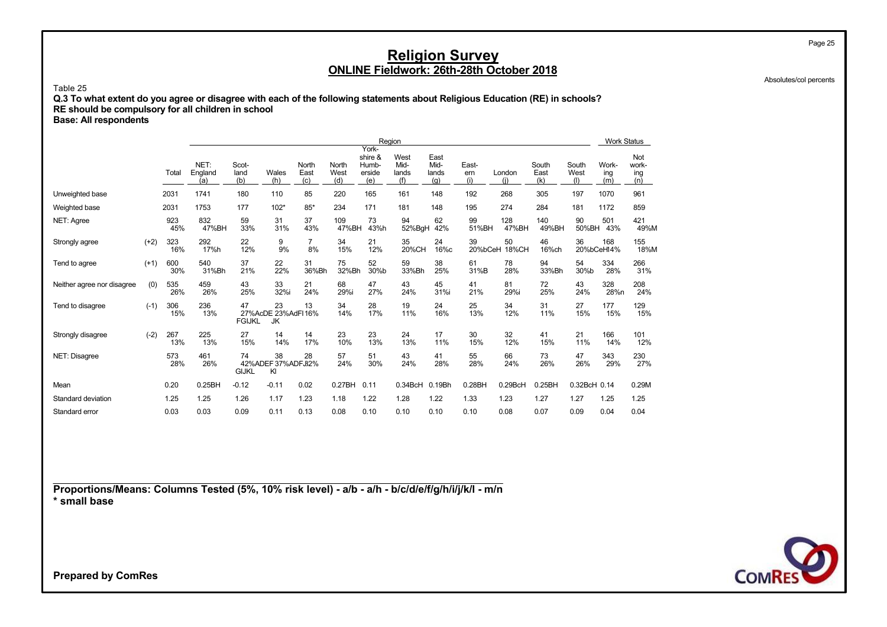Absolutes/col percents

Page 25

#### Table 25

**Q.3 To what extent do you agree or disagree with each of the following statements about Religious Education (RE) in schools? RE should be compulsory for all children in school**

**Base: All respondents**

|                            |        |            |                        |                      |                                |                      |                      |                                            | Region                       |                              |                     |               |                      |                      | Work Status         |                            |
|----------------------------|--------|------------|------------------------|----------------------|--------------------------------|----------------------|----------------------|--------------------------------------------|------------------------------|------------------------------|---------------------|---------------|----------------------|----------------------|---------------------|----------------------------|
|                            |        | Total      | NET:<br>England<br>(a) | Scot-<br>land<br>(b) | Wales<br>(h)                   | North<br>East<br>(c) | North<br>West<br>(d) | York-<br>shire &<br>Humb-<br>erside<br>(e) | West<br>Mid-<br>lands<br>(f) | East<br>Mid-<br>lands<br>(q) | East-<br>ern<br>(i) | London<br>(i) | South<br>East<br>(k) | South<br>West<br>(1) | Work-<br>ing<br>(m) | Not<br>work-<br>ing<br>(n) |
| Unweighted base            |        | 2031       | 1741                   | 180                  | 110                            | 85                   | 220                  | 165                                        | 161                          | 148                          | 192                 | 268           | 305                  | 197                  | 1070                | 961                        |
| Weighted base              |        | 2031       | 1753                   | 177                  | $102*$                         | $85*$                | 234                  | 171                                        | 181                          | 148                          | 195                 | 274           | 284                  | 181                  | 1172                | 859                        |
| NET: Agree                 |        | 923<br>45% | 832<br>47%BH           | 59<br>33%            | 31<br>31%                      | 37<br>43%            | 109<br>47%BH         | 73<br>43%h                                 | 94<br>52%BgH                 | 62<br>42%                    | 99<br>51%BH         | 128<br>47%BH  | 140<br>49%BH         | 90<br>50%BH          | 501<br>43%          | 421<br>49%M                |
| Strongly agree             | $(+2)$ | 323<br>16% | 292<br>17%h            | 22<br>12%            | 9<br>9%                        | 7<br>8%              | 34<br>15%            | 21<br>12%                                  | 35<br>20%CH                  | 24<br>16%c                   | 39<br>20%bCeH       | 50<br>18%CH   | 46<br>16%ch          | 36                   | 168<br>20%bCeH14%   | 155<br>18%M                |
| Tend to agree              | $(+1)$ | 600<br>30% | 540<br>31%Bh           | 37<br>21%            | 22<br>22%                      | 31<br>36%Bh          | 75<br>32%Bh          | 52<br>30%b                                 | 59<br>33%Bh                  | 38<br>25%                    | 61<br>31%B          | 78<br>28%     | 94<br>33%Bh          | 54<br>30%b           | 334<br>28%          | 266<br>31%                 |
| Neither agree nor disagree | (0)    | 535<br>26% | 459<br>26%             | 43<br>25%            | 33<br>32%i                     | 21<br>24%            | 68<br>29%i           | 47<br>27%                                  | 43<br>24%                    | 45<br>31%i                   | 41<br>21%           | 81<br>29%i    | 72<br>25%            | 43<br>24%            | 328<br>28%n         | 208<br>24%                 |
| Tend to disagree           | $(-1)$ | 306<br>15% | 236<br>13%             | 47<br><b>FGIJKL</b>  | 23<br>27%AcDE 23%AdFI16%<br>JK | 13                   | 34<br>14%            | 28<br>17%                                  | 19<br>11%                    | 24<br>16%                    | 25<br>13%           | 34<br>12%     | 31<br>11%            | 27<br>15%            | 177<br>15%          | 129<br>15%                 |
| Strongly disagree          | $(-2)$ | 267<br>13% | 225<br>13%             | 27<br>15%            | 14<br>14%                      | 14<br>17%            | 23<br>10%            | 23<br>13%                                  | 24<br>13%                    | 17<br>11%                    | 30<br>15%           | 32<br>12%     | 41<br>15%            | 21<br>11%            | 166<br>14%          | 101<br>12%                 |
| NET: Disagree              |        | 573<br>28% | 461<br>26%             | 74<br><b>GIJKL</b>   | 38<br>42%ADEF 37%ADFJ32%<br>KI | 28                   | 57<br>24%            | 51<br>30%                                  | 43<br>24%                    | 41<br>28%                    | 55<br>28%           | 66<br>24%     | 73<br>26%            | 47<br>26%            | 343<br>29%          | 230<br>27%                 |
| Mean                       |        | 0.20       | 0.25BH                 | $-0.12$              | $-0.11$                        | 0.02                 | 0.27BH               | 0.11                                       | $0.34$ BcH                   | 0.19Bh                       | 0.28BH              | 0.29BcH       | 0.25BH               | 0.32BcH 0.14         |                     | 0.29M                      |
| Standard deviation         |        | 1.25       | 1.25                   | 1.26                 | 1.17                           | 1.23                 | 1.18                 | 1.22                                       | 1.28                         | 1.22                         | 1.33                | 1.23          | 1.27                 | 1.27                 | 1.25                | 1.25                       |
| Standard error             |        | 0.03       | 0.03                   | 0.09                 | 0.11                           | 0.13                 | 0.08                 | 0.10                                       | 0.10                         | 0.10                         | 0.10                | 0.08          | 0.07                 | 0.09                 | 0.04                | 0.04                       |

**Proportions/Means: Columns Tested (5%, 10% risk level) - a/b - a/h - b/c/d/e/f/g/h/i/j/k/l - m/n \* small base**

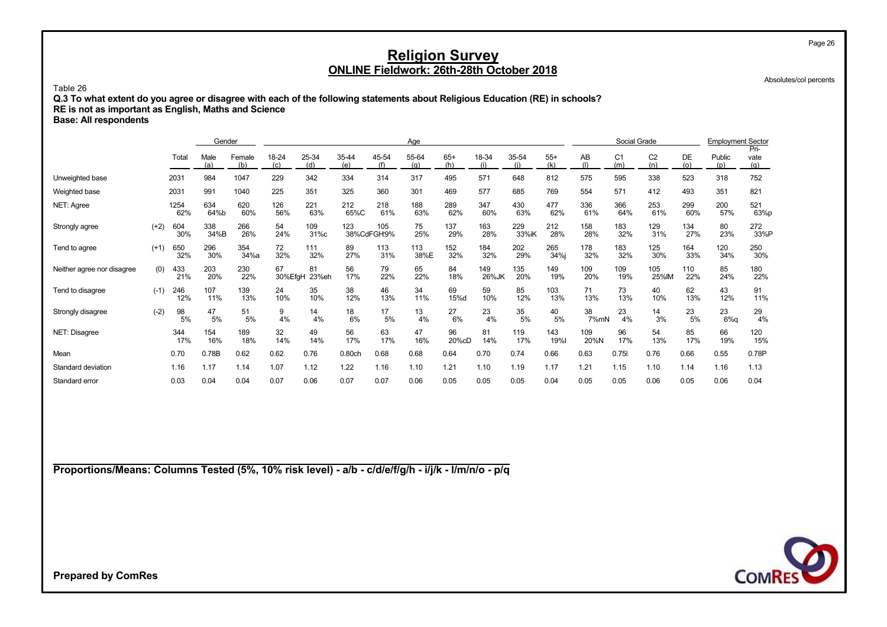Absolutes/col percents

Page 26

#### Table 26

**Q.3 To what extent do you agree or disagree with each of the following statements about Religious Education (RE) in schools?**

**RE is not as important as English, Maths and Science**

**Base: All respondents**

|                            |        |             | Gender      |               |               |              |              |                    | Age          |              |              |              |                    |             | Social Grade          |                       |            | <b>Employment Sector</b> | Pri-        |
|----------------------------|--------|-------------|-------------|---------------|---------------|--------------|--------------|--------------------|--------------|--------------|--------------|--------------|--------------------|-------------|-----------------------|-----------------------|------------|--------------------------|-------------|
|                            |        | Total       | Male<br>(a) | Female<br>(b) | 18-24<br>(c)  | 25-34<br>(d) | 35-44<br>(e) | 45-54<br>(f)       | 55-64<br>(q) | $65+$<br>(h) | 18-34<br>(i) | 35-54<br>(i) | $55+$<br>(k)       | AB<br>(1)   | C <sub>1</sub><br>(m) | C <sub>2</sub><br>(n) | DE<br>(0)  | Public<br>(p)            | vate<br>(a) |
| Unweighted base            |        | 2031        | 984         | 1047          | 229           | 342          | 334          | 314                | 317          | 495          | 571          | 648          | 812                | 575         | 595                   | 338                   | 523        | 318                      | 752         |
| Weighted base              |        | 2031        | 991         | 1040          | 225           | 351          | 325          | 360                | 301          | 469          | 577          | 685          | 769                | 554         | 571                   | 412                   | 493        | 351                      | 821         |
| NET: Agree                 |        | 1254<br>62% | 634<br>64%b | 620<br>60%    | 126<br>56%    | 221<br>63%   | 212<br>65%C  | 218<br>61%         | 188<br>63%   | 289<br>62%   | 347<br>60%   | 430<br>63%   | 477<br>62%         | 336<br>61%  | 366<br>64%            | 253<br>61%            | 299<br>60% | 200<br>57%               | 521<br>63%p |
| Strongly agree             | $(+2)$ | 604<br>30%  | 338<br>34%B | 266<br>26%    | 54<br>24%     | 109<br>31%c  | 123          | 105<br>38%CdFGH:9% | 75<br>25%    | 137<br>29%   | 163<br>28%   | 229<br>33%iK | 212<br>28%         | 158<br>28%  | 183<br>32%            | 129<br>31%            | 134<br>27% | 80<br>23%                | 272<br>33%P |
| Tend to agree              | $(+1)$ | 650<br>32%  | 296<br>30%  | 354<br>34%a   | 72<br>32%     | 111<br>32%   | 89<br>27%    | 113<br>31%         | 113<br>38%E  | 152<br>32%   | 184<br>32%   | 202<br>29%   | 265<br>34%j        | 178<br>32%  | 183<br>32%            | 125<br>30%            | 164<br>33% | 120<br>34%               | 250<br>30%  |
| Neither agree nor disagree | (0)    | 433<br>21%  | 203<br>20%  | 230<br>22%    | 67<br>30%EfgH | 81<br>23%eh  | 56<br>17%    | 79<br>22%          | 65<br>22%    | 84<br>18%    | 149<br>26%JK | 135<br>20%   | 149<br>19%         | 109<br>20%  | 109<br>19%            | 105<br>25%IM          | 110<br>22% | 85<br>24%                | 180<br>22%  |
| Tend to disagree           | $(-1)$ | 246<br>12%  | 107<br>11%  | 139<br>13%    | 24<br>10%     | 35<br>10%    | 38<br>12%    | 46<br>13%          | 34<br>11%    | 69<br>15%d   | 59<br>10%    | 85<br>12%    | 103<br>13%         | 71<br>13%   | 73<br>13%             | 40<br>10%             | 62<br>13%  | 43<br>12%                | 91<br>11%   |
| Strongly disagree          | $(-2)$ | 98<br>5%    | 47<br>5%    | 51<br>5%      | 9<br>4%       | 14<br>4%     | 18<br>6%     | 17<br>5%           | 13<br>4%     | 27<br>6%     | 23<br>4%     | 35<br>5%     | 40<br>5%           | 38<br>7%mN  | 23<br>4%              | 14<br>3%              | 23<br>5%   | 23<br>$6%$ a             | 29<br>4%    |
| NET: Disagree              |        | 344<br>17%  | 154<br>16%  | 189<br>18%    | 32<br>14%     | 49<br>14%    | 56<br>17%    | 63<br>17%          | 47<br>16%    | 96<br>20%cD  | 81<br>14%    | 119<br>17%   | 143<br><b>19%I</b> | 109<br>20%N | 96<br>17%             | 54<br>13%             | 85<br>17%  | 66<br>19%                | 120<br>15%  |
| Mean                       |        | 0.70        | 0.78B       | 0.62          | 0.62          | 0.76         | 0.80ch       | 0.68               | 0.68         | 0.64         | 0.70         | 0.74         | 0.66               | 0.63        | 0.751                 | 0.76                  | 0.66       | 0.55                     | 0.78P       |
| Standard deviation         |        | 1.16        | 1.17        | 1.14          | 1.07          | 1.12         | 1.22         | 1.16               | 1.10         | 1.21         | 1.10         | 1.19         | 1.17               | 1.21        | 1.15                  | 1.10                  | 1.14       | 1.16                     | 1.13        |
| Standard error             |        | 0.03        | 0.04        | 0.04          | 0.07          | 0.06         | 0.07         | 0.07               | 0.06         | 0.05         | 0.05         | 0.05         | 0.04               | 0.05        | 0.05                  | 0.06                  | 0.05       | 0.06                     | 0.04        |

**Proportions/Means: Columns Tested (5%, 10% risk level) - a/b - c/d/e/f/g/h - i/j/k - l/m/n/o - p/q**

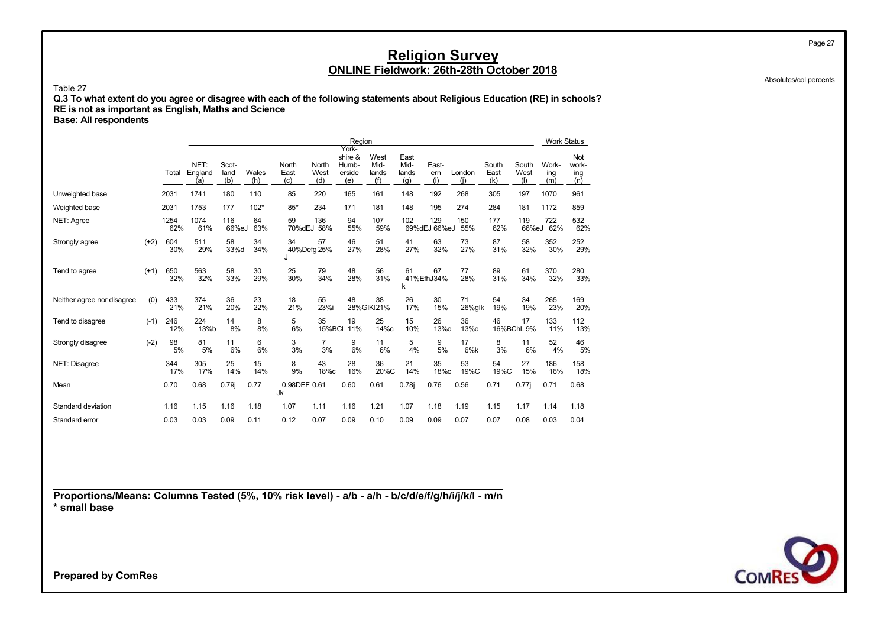Absolutes/col percents

Page 27

Table 27

**Q.3 To what extent do you agree or disagree with each of the following statements about Religious Education (RE) in schools? RE is not as important as English, Maths and Science**

**Base: All respondents**

|                            |        |             |                        |                      |              |                      |                      | Region                                     |                              |                              |                     |               |                      |                      | <b>Work Status</b>  |                            |
|----------------------------|--------|-------------|------------------------|----------------------|--------------|----------------------|----------------------|--------------------------------------------|------------------------------|------------------------------|---------------------|---------------|----------------------|----------------------|---------------------|----------------------------|
|                            |        | Total       | NET:<br>England<br>(a) | Scot-<br>land<br>(b) | Wales<br>(h) | North<br>East<br>(c) | North<br>West<br>(d) | York-<br>shire &<br>Humb-<br>erside<br>(e) | West<br>Mid-<br>lands<br>(f) | East<br>Mid-<br>lands<br>(q) | East-<br>em<br>(i)  | London<br>(i) | South<br>East<br>(k) | South<br>West<br>(1) | Work-<br>ing<br>(m) | Not<br>work-<br>ing<br>(n) |
| Unweighted base            |        | 2031        | 1741                   | 180                  | 110          | 85                   | 220                  | 165                                        | 161                          | 148                          | 192                 | 268           | 305                  | 197                  | 1070                | 961                        |
| Weighted base              |        | 2031        | 1753                   | 177                  | $102*$       | $85*$                | 234                  | 171                                        | 181                          | 148                          | 195                 | 274           | 284                  | 181                  | 1172                | 859                        |
| NET: Agree                 |        | 1254<br>62% | 1074<br>61%            | 116<br>66%eJ         | 64<br>63%    | 59<br>70%dEJ         | 136<br>58%           | 94<br>55%                                  | 107<br>59%                   | 102                          | 129<br>69%dEJ 66%eJ | 150<br>55%    | 177<br>62%           | 119<br>66%eJ         | 722<br>62%          | 532<br>62%                 |
| Strongly agree             | $(+2)$ | 604<br>30%  | 511<br>29%             | 58<br>33%d           | 34<br>34%    | 34<br>$\cdot$        | 57<br>40%Defg 25%    | 46<br>27%                                  | 51<br>28%                    | 41<br>27%                    | 63<br>32%           | 73<br>27%     | 87<br>31%            | 58<br>32%            | 352<br>30%          | 252<br>29%                 |
| Tend to agree              | $(+1)$ | 650<br>32%  | 563<br>32%             | 58<br>33%            | 30<br>29%    | 25<br>30%            | 79<br>34%            | 48<br>28%                                  | 56<br>31%                    | 61<br>k                      | 67<br>41%EfhJ34%    | 77<br>28%     | 89<br>31%            | 61<br>34%            | 370<br>32%          | 280<br>33%                 |
| Neither agree nor disagree | (0)    | 433<br>21%  | 374<br>21%             | 36<br>20%            | 23<br>22%    | 18<br>21%            | 55<br>23%i           | 48                                         | 38<br>28%GIKI21%             | 26<br>17%                    | 30<br>15%           | 71<br>26%glk  | 54<br>19%            | 34<br>19%            | 265<br>23%          | 169<br>20%                 |
| Tend to disagree           | $(-1)$ | 246<br>12%  | 224<br>13%b            | 14<br>8%             | 8<br>8%      | 5<br>6%              | 35<br><b>15%BCI</b>  | 19<br>11%                                  | 25<br>14%c                   | 15<br>10%                    | 26<br>13%c          | 36<br>13%c    | 46                   | 17<br>16%BChL 9%     | 133<br>11%          | 112<br>13%                 |
| Strongly disagree          | $(-2)$ | 98<br>5%    | 81<br>5%               | 11<br>6%             | 6<br>6%      | 3<br>3%              | $\overline{7}$<br>3% | 9<br>6%                                    | 11<br>6%                     | 5<br>4%                      | 9<br>5%             | 17<br>6%k     | 8<br>3%              | 11<br>6%             | 52<br>4%            | 46<br>5%                   |
| NET: Disagree              |        | 344<br>17%  | 305<br>17%             | 25<br>14%            | 15<br>14%    | 8<br>9%              | 43<br>18%c           | 28<br>16%                                  | 36<br>20%C                   | 21<br>14%                    | 35<br>18%c          | 53<br>19%C    | 54<br>19%C           | 27<br>15%            | 186<br>16%          | 158<br>18%                 |
| Mean                       |        | 0.70        | 0.68                   | 0.79i                | 0.77         | 0.98DEF 0.61<br>Jk   |                      | 0.60                                       | 0.61                         | 0.78j                        | 0.76                | 0.56          | 0.71                 | $0.77$ j             | 0.71                | 0.68                       |
| Standard deviation         |        | 1.16        | 1.15                   | 1.16                 | 1.18         | 1.07                 | 1.11                 | 1.16                                       | 1.21                         | 1.07                         | 1.18                | 1.19          | 1.15                 | 1.17                 | 1.14                | 1.18                       |
| Standard error             |        | 0.03        | 0.03                   | 0.09                 | 0.11         | 0.12                 | 0.07                 | 0.09                                       | 0.10                         | 0.09                         | 0.09                | 0.07          | 0.07                 | 0.08                 | 0.03                | 0.04                       |

**Proportions/Means: Columns Tested (5%, 10% risk level) - a/b - a/h - b/c/d/e/f/g/h/i/j/k/l - m/n \* small base**

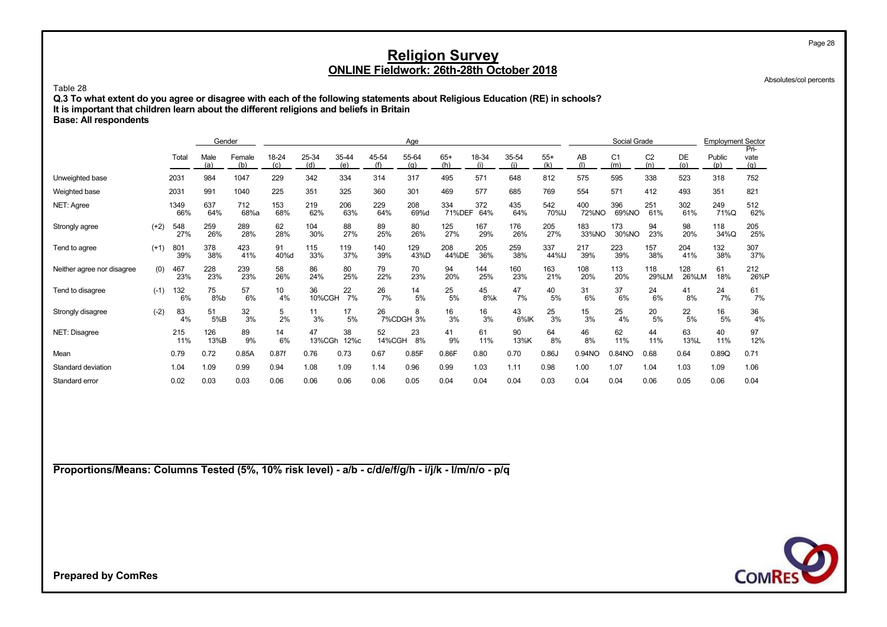Absolutes/col percents

Page 28

#### Table 28

**Q.3 To what extent do you agree or disagree with each of the following statements about Religious Education (RE) in schools? It is important that children learn about the different religions and beliefs in Britain Base: All respondents**

Gender Contact Contact Contact Contact Contact Contact Contact Contact Contact Contact Contact Contact Contact Contact Contact Contact Contact Contact Contact Contact Contact Contact Contact Contact Contact Contact Contact vate Total Male Female 18-24 25-34 35-44 45-54 55-64 65+ 18-34 35-54 55+ AB C1 C2 DE Public vate (a) (b) (c) (d) (e) (f) (j) (q) (h) (i) (i) (k) (l) (l) (m) (n) (o) (p) (q) Unweighted base 2031 984 1047 229 342 334 314 317 495 571 648 812 575 595 338 523 318 752 Weighted base 2031 991 1040 225 351 325 360 301 469 577 685 769 554 571 412 493 351 821 NET: Agree 1349 637 712 153 219 206 229 208 334 372 435 542 400 396 251 302 249 512 66% 64% 68%a 68% 62% 63% 64% 69%d 71%DEF 64% 64% 70%IJ 72%NO 69%NO 61% 61% 71%Q 62% Strongly agree (+2) 548 259 289 62 104 88 89 80 125 167 176 205 183 173 94 98 118 205 27% 26% 28% 28% 30% 27% 25% 26% 27% 29% 26% 27% 33%NO 30%NO 23% 20% 34%Q 25% Tend to agree (+1) 801 378 423 91 115 119 140 129 208 205 259 337 217 223 157 204 132 307 39% 38% 41% 40%d 33% 37% 39% 43%D 44%DE 36% 38% 44%IJ 39% 39% 38% 41% 38% 37% Neither agree nor disagree (0) 467 228 239 58 86 80 79 70 94 144 160 163 108 113 118 128 61 212<br>23% 20% 20% 23% 23% 23% 26% 24% 25% 22% 23% 20% 25% 21% 21% 20% 20% 20% 20% 20% 20% 20% 20% 23% 23% 23% 26% 24% 25% 22% 23% 20% 25% 23% 21% 20% 20% 29%LM 26%LM 18% 26%P Tend to disagree (-1) 132 75 57 10 36 22 26 14 25 45 47 40 31 37 24 41 24 61 6% 8%b 6% 4% 10%CGH 7% 7% 5% 5% 8%k 7% 5% 6% 6% 6% 8% 7% 7% Strongly disagree (-2) 83 51 32 5 11 17 26 8 16 16 43 25 15 25 20 22 16 36 4% 5%B 3% 2% 3% 5% 7%CDGH 3% 3% 3% 6%IK 3% 3% 4% 5% 5% 5% 4% NET: Disagree 215 126 89 14 47 38 52 23 41 61 90 64 46 62 44 63 40 97 11% 13%B 9% 6% 13%CGh 12%c 14%CGH 8% 9% 11% 13%K 8% 8% 11% 11% 13%L 11% 12% Mean 0.79 0.72 0.85A 0.87f 0.76 0.73 0.67 0.85F 0.86F 0.80 0.70 0.86J 0.94NO 0.84NO 0.68 0.64 0.89Q 0.71 Standard deviation 1.04 1.09 0.99 1.08 1.04 1.09 1.08 1.08 1.08 1.08 1.08 1.08 1.06 1.08 1.06 1.06 1.06 1.06 1.06 1.06 Standard error 0.02 0.03 0.03 0.06 0.06 0.06 0.06 0.05 0.04 0.04 0.04 0.03 0.04 0.04 0.06 0.05 0.06 0.04

**Proportions/Means: Columns Tested (5%, 10% risk level) - a/b - c/d/e/f/g/h - i/j/k - l/m/n/o - p/q**

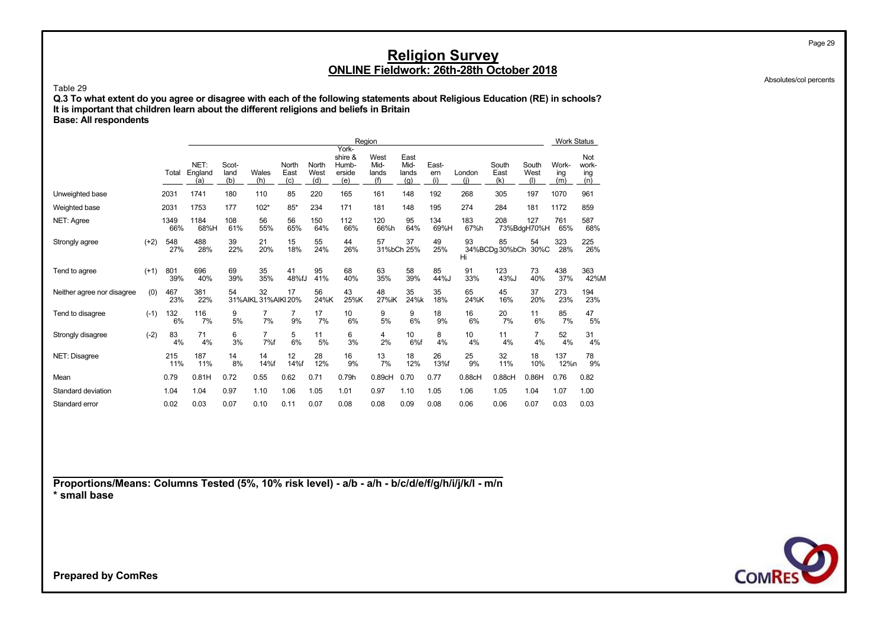Absolutes/col percents

Page 29

Table 29 **Q.3 To what extent do you agree or disagree with each of the following statements about Religious Education (RE) in schools? It is important that children learn about the different religions and beliefs in Britain Base: All respondents**

|                            |        |             |                        | Region<br>York-      |                           |                      |                      |                                   |                              |                              |                    |               |                      |                      |                     |                            |
|----------------------------|--------|-------------|------------------------|----------------------|---------------------------|----------------------|----------------------|-----------------------------------|------------------------------|------------------------------|--------------------|---------------|----------------------|----------------------|---------------------|----------------------------|
|                            |        | Total       | NET:<br>England<br>(a) | Scot-<br>land<br>(b) | Wales<br>(h)              | North<br>East<br>(c) | North<br>West<br>(d) | shire &<br>Humb-<br>erside<br>(e) | West<br>Mid-<br>lands<br>(f) | East<br>Mid-<br>lands<br>(q) | East-<br>em<br>(i) | London<br>(i) | South<br>East<br>(k) | South<br>West<br>(1) | Work-<br>ing<br>(m) | Not<br>work-<br>ing<br>(n) |
| Unweighted base            |        | 2031        | 1741                   | 180                  | 110                       | 85                   | 220                  | 165                               | 161                          | 148                          | 192                | 268           | 305                  | 197                  | 1070                | 961                        |
| Weighted base              |        | 2031        | 1753                   | 177                  | $102*$                    | $85*$                | 234                  | 171                               | 181                          | 148                          | 195                | 274           | 284                  | 181                  | 1172                | 859                        |
| NET: Agree                 |        | 1349<br>66% | 1184<br>68%H           | 108<br>61%           | 56<br>55%                 | 56<br>65%            | 150<br>64%           | 112<br>66%                        | 120<br>66%h                  | 95<br>64%                    | 134<br>69%H        | 183<br>67%h   | 208                  | 127<br>73%BdgH70%H   | 761<br>65%          | 587<br>68%                 |
| Strongly agree             | $(+2)$ | 548<br>27%  | 488<br>28%             | 39<br>22%            | 21<br>20%                 | 15<br>18%            | 55<br>24%            | 44<br>26%                         | 57                           | 37<br>31%bCh 25%             | 49<br>25%          | 93<br>Hi      | 85<br>34%BCDg 30%bCh | 54<br>30%C           | 323<br>28%          | 225<br>26%                 |
| Tend to agree              | $(+1)$ | 801<br>39%  | 696<br>40%             | 69<br>39%            | 35<br>35%                 | 41<br>48%fJ          | 95<br>41%            | 68<br>40%                         | 63<br>35%                    | 58<br>39%                    | 85<br>44%J         | 91<br>33%     | 123<br>43%J          | 73<br>40%            | 438<br>37%          | 363<br>42%M                |
| Neither agree nor disagree | (0)    | 467<br>23%  | 381<br>22%             | 54                   | 32<br>31%AIKL 31%AIKI 20% | 17                   | 56<br>24%K           | 43<br>25%K                        | 48<br>27%iK                  | 35<br>24%k                   | 35<br>18%          | 65<br>24%K    | 45<br>16%            | 37<br>20%            | 273<br>23%          | 194<br>23%                 |
| Tend to disagree           | $(-1)$ | 132<br>6%   | 116<br>7%              | 9<br>5%              | 7<br>7%                   | 7<br>9%              | 17<br>7%             | 10<br>6%                          | 9<br>5%                      | 9<br>6%                      | 18<br>9%           | 16<br>6%      | 20<br>7%             | 11<br>6%             | 85<br>7%            | 47<br>5%                   |
| Strongly disagree          | $(-2)$ | 83<br>4%    | 71<br>4%               | 6<br>3%              | 7<br>7%f                  | 5<br>6%              | 11<br>5%             | 6<br>3%                           | 4<br>2%                      | 10<br>6%f                    | 8<br>4%            | 10<br>4%      | 11<br>4%             | 7<br>4%              | 52<br>4%            | 31<br>4%                   |
| NET: Disagree              |        | 215<br>11%  | 187<br>11%             | 14<br>8%             | 14<br>14%f                | 12<br>14%f           | 28<br>12%            | 16<br>9%                          | 13<br>7%                     | 18<br>12%                    | 26<br>13%f         | 25<br>9%      | 32<br>11%            | 18<br>10%            | 137<br>12%n         | 78<br>9%                   |
| Mean                       |        | 0.79        | 0.81H                  | 0.72                 | 0.55                      | 0.62                 | 0.71                 | 0.79h                             | 0.89cH                       | 0.70                         | 0.77               | 0.88cH        | 0.88cH               | 0.86H                | 0.76                | 0.82                       |
| Standard deviation         |        | 1.04        | 1.04                   | 0.97                 | 1.10                      | 1.06                 | 1.05                 | 1.01                              | 0.97                         | 1.10                         | 1.05               | 1.06          | 1.05                 | 1.04                 | 1.07                | 1.00                       |
| Standard error             |        | 0.02        | 0.03                   | 0.07                 | 0.10                      | 0.11                 | 0.07                 | 0.08                              | 0.08                         | 0.09                         | 0.08               | 0.06          | 0.06                 | 0.07                 | 0.03                | 0.03                       |

**Proportions/Means: Columns Tested (5%, 10% risk level) - a/b - a/h - b/c/d/e/f/g/h/i/j/k/l - m/n \* small base**

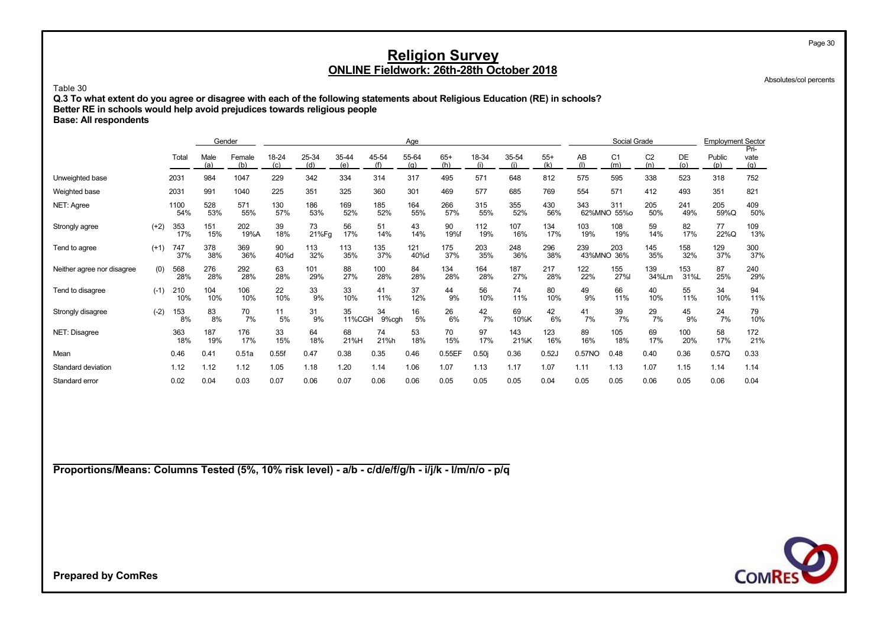Absolutes/col percents

#### Table 30

**Q.3 To what extent do you agree or disagree with each of the following statements about Religious Education (RE) in schools? Better RE in schools would help avoid prejudices towards religious people Base: All respondents**

|                            |        |             | Gender      |               |              |              |              |              | Age          |              |            |              |              |                    | Social Grade          |                       |             | <b>Employment Sector</b> | Pri-        |
|----------------------------|--------|-------------|-------------|---------------|--------------|--------------|--------------|--------------|--------------|--------------|------------|--------------|--------------|--------------------|-----------------------|-----------------------|-------------|--------------------------|-------------|
|                            |        | Total       | Male<br>(a) | Female<br>(b) | 18-24<br>(c) | 25-34<br>(d) | 35-44<br>(e) | 45-54<br>(f) | 55-64<br>(a) | $65+$<br>(h) | 18-34      | 35-54<br>(i) | $55+$<br>(k) | AB                 | C <sub>1</sub><br>(m) | C <sub>2</sub><br>(n) | DE<br>(o)   | Public<br>(p)            | vate<br>(q) |
| Unweighted base            |        | 2031        | 984         | 1047          | 229          | 342          | 334          | 314          | 317          | 495          | 571        | 648          | 812          | 575                | 595                   | 338                   | 523         | 318                      | 752         |
| Weighted base              |        | 2031        | 991         | 1040          | 225          | 351          | 325          | 360          | 301          | 469          | 577        | 685          | 769          | 554                | 571                   | 412                   | 493         | 351                      | 821         |
| NET: Agree                 |        | 1100<br>54% | 528<br>53%  | 571<br>55%    | 130<br>57%   | 186<br>53%   | 169<br>52%   | 185<br>52%   | 164<br>55%   | 266<br>57%   | 315<br>55% | 355<br>52%   | 430<br>56%   | 343<br>62%MNO 55%o | 311                   | 205<br>50%            | 241<br>49%  | 205<br>59%Q              | 409<br>50%  |
| Strongly agree             | $(+2)$ | 353<br>17%  | 151<br>15%  | 202<br>19%A   | 39<br>18%    | 73<br>21%Fg  | 56<br>17%    | 51<br>14%    | 43<br>14%    | 90<br>19%f   | 112<br>19% | 107<br>16%   | 134<br>17%   | 103<br>19%         | 108<br>19%            | 59<br>14%             | 82<br>17%   | 77<br>22%Q               | 109<br>13%  |
| Tend to agree              | $(+1)$ | 747<br>37%  | 378<br>38%  | 369<br>36%    | 90<br>40%d   | 113<br>32%   | 113<br>35%   | 135<br>37%   | 121<br>40%d  | 175<br>37%   | 203<br>35% | 248<br>36%   | 296<br>38%   | 239<br>43%MNO 36%  | 203                   | 145<br>35%            | 158<br>32%  | 129<br>37%               | 300<br>37%  |
| Neither agree nor disagree | (0)    | 568<br>28%  | 276<br>28%  | 292<br>28%    | 63<br>28%    | 101<br>29%   | 88<br>27%    | 100<br>28%   | 84<br>28%    | 134<br>28%   | 164<br>28% | 187<br>27%   | 217<br>28%   | 122<br>22%         | 155<br>27%l           | 139<br>34%Lm          | 153<br>31%L | 87<br>25%                | 240<br>29%  |
| Tend to disagree           | $(-1)$ | 210<br>10%  | 104<br>10%  | 106<br>10%    | 22<br>10%    | 33<br>9%     | 33<br>10%    | 41<br>11%    | 37<br>12%    | 44<br>9%     | 56<br>10%  | 74<br>11%    | 80<br>10%    | 49<br>9%           | 66<br>11%             | 40<br>10%             | 55<br>11%   | 34<br>10%                | 94<br>11%   |
| Strongly disagree          | $(-2)$ | 153<br>8%   | 83<br>8%    | 70<br>7%      | 11<br>5%     | 31<br>9%     | 35<br>11%CGH | 34<br>9%cgh  | 16<br>5%     | 26<br>6%     | 42<br>7%   | 69<br>10%K   | 42<br>6%     | 41<br>7%           | 39<br>7%              | 29<br>7%              | 45<br>9%    | 24<br>7%                 | 79<br>10%   |
| NET: Disagree              |        | 363<br>18%  | 187<br>19%  | 176<br>17%    | 33<br>15%    | 64<br>18%    | 68<br>21%H   | 74<br>21%h   | 53<br>18%    | 70<br>15%    | 97<br>17%  | 143<br>21%K  | 123<br>16%   | 89<br>16%          | 105<br>18%            | 69<br>17%             | 100<br>20%  | 58<br>17%                | 172<br>21%  |
| Mean                       |        | 0.46        | 0.41        | 0.51a         | 0.55f        | 0.47         | 0.38         | 0.35         | 0.46         | 0.55EF       | 0.50i      | 0.36         | 0.52J        | 0.57NO             | 0.48                  | 0.40                  | 0.36        | 0.57Q                    | 0.33        |
| Standard deviation         |        | 1.12        | 1.12        | 1.12          | 1.05         | 1.18         | 1.20         | 1.14         | 1.06         | 1.07         | 1.13       | 1.17         | 1.07         | 1.11               | 1.13                  | 1.07                  | 1.15        | 1.14                     | 1.14        |
| Standard error             |        | 0.02        | 0.04        | 0.03          | 0.07         | 0.06         | 0.07         | 0.06         | 0.06         | 0.05         | 0.05       | 0.05         | 0.04         | 0.05               | 0.05                  | 0.06                  | 0.05        | 0.06                     | 0.04        |

**Proportions/Means: Columns Tested (5%, 10% risk level) - a/b - c/d/e/f/g/h - i/j/k - l/m/n/o - p/q**



**Prepared by ComRes**

Page 30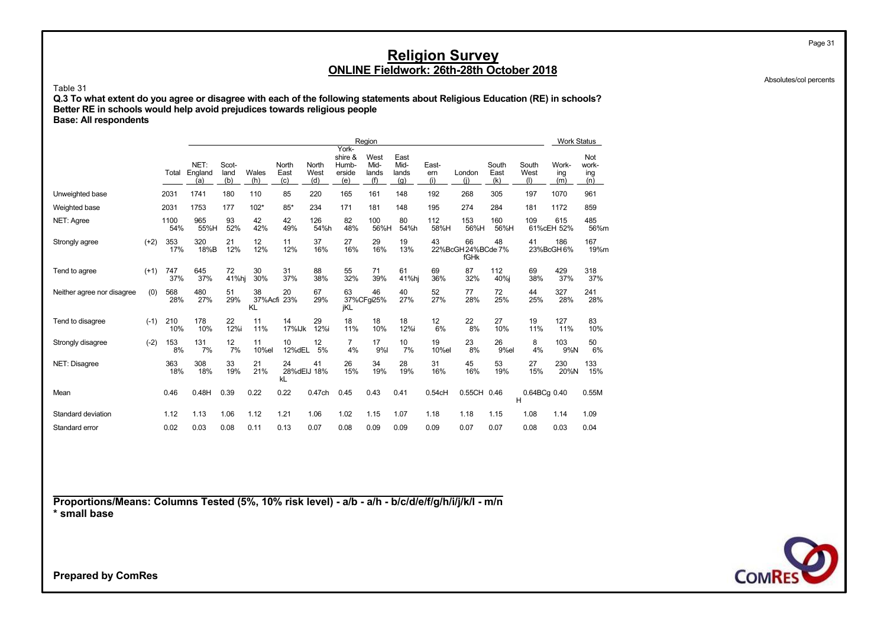Absolutes/col percents

Page 31

#### Table 31

**Q.3 To what extent do you agree or disagree with each of the following statements about Religious Education (RE) in schools? Better RE in schools would help avoid prejudices towards religious people Base: All respondents**

|                            |        |             |                        |                      |                         |                                |                      |                                            | Region                       |                              |                     |                                  |                      |                      | <b>Work Status</b>  |                            |
|----------------------------|--------|-------------|------------------------|----------------------|-------------------------|--------------------------------|----------------------|--------------------------------------------|------------------------------|------------------------------|---------------------|----------------------------------|----------------------|----------------------|---------------------|----------------------------|
|                            |        | Total       | NET:<br>England<br>(a) | Scot-<br>land<br>(b) | Wales<br>(h)            | North<br>East<br>(c)           | North<br>West<br>(d) | York-<br>shire &<br>Humb-<br>erside<br>(e) | West<br>Mid-<br>lands<br>(f) | East<br>Mid-<br>lands<br>(q) | East-<br>ern<br>(i) | London<br>(i)                    | South<br>East<br>(k) | South<br>West<br>(I) | Work-<br>ing<br>(m) | Not<br>work-<br>ing<br>(n) |
| Unweighted base            |        | 2031        | 1741                   | 180                  | 110                     | 85                             | 220                  | 165                                        | 161                          | 148                          | 192                 | 268                              | 305                  | 197                  | 1070                | 961                        |
| Weighted base              |        | 2031        | 1753                   | 177                  | $102*$                  | $85*$                          | 234                  | 171                                        | 181                          | 148                          | 195                 | 274                              | 284                  | 181                  | 1172                | 859                        |
| NET: Agree                 |        | 1100<br>54% | 965<br>55%H            | 93<br>52%            | 42<br>42%               | 42<br>49%                      | 126<br>54%h          | 82<br>48%                                  | 100<br>56%H                  | 80<br>54%h                   | 112<br>58%H         | 153<br>56%H                      | 160<br>56%H          | 109                  | 615<br>61%cEH 52%   | 485<br>56%m                |
| Strongly agree             | $(+2)$ | 353<br>17%  | 320<br>18%B            | 21<br>12%            | 12<br>12%               | 11<br>12%                      | 37<br>16%            | 27<br>16%                                  | 29<br>16%                    | 19<br>13%                    | 43                  | 66<br>22%BcGH 24%BCde 7%<br>fGHk | 48                   | 41                   | 186<br>23%BcGH6%    | 167<br>19%m                |
| Tend to agree              | $(+1)$ | 747<br>37%  | 645<br>37%             | 72<br>41%hj          | 30<br>30%               | 31<br>37%                      | 88<br>38%            | 55<br>32%                                  | 71<br>39%                    | 61<br>41%hj                  | 69<br>36%           | 87<br>32%                        | 112<br>40%i          | 69<br>38%            | 429<br>37%          | 318<br>37%                 |
| Neither agree nor disagree | (0)    | 568<br>28%  | 480<br>27%             | 51<br>29%            | 38<br>37%Acfi 23%<br>KL | 20                             | 67<br>29%            | 63<br>jKL                                  | 46<br>37%CFgi25%             | 40<br>27%                    | 52<br>27%           | 77<br>28%                        | 72<br>25%            | 44<br>25%            | 327<br>28%          | 241<br>28%                 |
| Tend to disagree           | $(-1)$ | 210<br>10%  | 178<br>10%             | 22<br>12%i           | 11<br>11%               | 14<br>17% Jk                   | 29<br>12%i           | 18<br>11%                                  | 18<br>10%                    | 18<br>12%i                   | 12<br>6%            | 22<br>8%                         | 27<br>10%            | 19<br>11%            | 127<br>11%          | 83<br>10%                  |
| Strongly disagree          | $(-2)$ | 153<br>8%   | 131<br>7%              | 12<br>7%             | 11<br>10%el             | 10<br>12%dEL                   | 12<br>5%             | $\overline{7}$<br>4%                       | 17<br>9%                     | 10<br>7%                     | 19<br>10%el         | 23<br>8%                         | 26<br>9%el           | 8<br>4%              | 103<br>9%N          | 50<br>6%                   |
| NET: Disagree              |        | 363<br>18%  | 308<br>18%             | 33<br>19%            | 21<br>21%               | 24<br>28%dEIJ 18%<br><b>kL</b> | 41                   | 26<br>15%                                  | 34<br>19%                    | 28<br>19%                    | 31<br>16%           | 45<br>16%                        | 53<br>19%            | 27<br>15%            | 230<br>20%N         | 133<br>15%                 |
| Mean                       |        | 0.46        | 0.48H                  | 0.39                 | 0.22                    | 0.22                           | 0.47ch               | 0.45                                       | 0.43                         | 0.41                         | 0.54cH              | 0.55CH 0.46                      |                      | 0.64BCg 0.40<br>H    |                     | 0.55M                      |
| Standard deviation         |        | 1.12        | 1.13                   | 1.06                 | 1.12                    | 1.21                           | 1.06                 | 1.02                                       | 1.15                         | 1.07                         | 1.18                | 1.18                             | 1.15                 | 1.08                 | 1.14                | 1.09                       |
| Standard error             |        | 0.02        | 0.03                   | 0.08                 | 0.11                    | 0.13                           | 0.07                 | 0.08                                       | 0.09                         | 0.09                         | 0.09                | 0.07                             | 0.07                 | 0.08                 | 0.03                | 0.04                       |

**Proportions/Means: Columns Tested (5%, 10% risk level) - a/b - a/h - b/c/d/e/f/g/h/i/j/k/l - m/n \* small base**

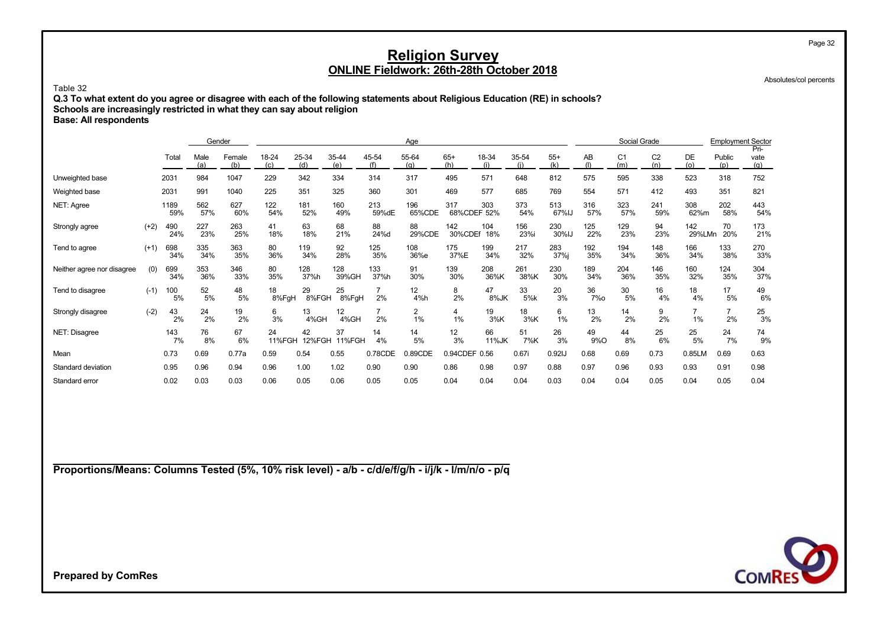Absolutes/col percents

Page 32

Table 32 **Q.3 To what extent do you agree or disagree with each of the following statements about Religious Education (RE) in schools? Schools are increasingly restricted in what they can say about religion Base: All respondents**

|                            |        |             | Gender      |               |              |              |                     |              | Age                  |                    |              |              |              |                  | Social Grade          |                       |               | <b>Employment Sector</b> |                     |
|----------------------------|--------|-------------|-------------|---------------|--------------|--------------|---------------------|--------------|----------------------|--------------------|--------------|--------------|--------------|------------------|-----------------------|-----------------------|---------------|--------------------------|---------------------|
|                            |        | Total       | Male<br>(a) | Female<br>(b) | 18-24<br>(c) | 25-34<br>(d) | 35-44<br>(e)        | 45-54<br>(f) | 55-64<br>(q)         | $65+$<br>(h)       | 18-34<br>(i) | 35-54<br>(i) | $55+$<br>(k) | AB               | C <sub>1</sub><br>(m) | C <sub>2</sub><br>(n) | DE<br>(o)     | Public<br>(p)            | Pri-<br>vate<br>(q) |
| Unweighted base            |        | 2031        | 984         | 1047          | 229          | 342          | 334                 | 314          | 317                  | 495                | 571          | 648          | 812          | 575              | 595                   | 338                   | 523           | 318                      | 752                 |
| Weighted base              |        | 2031        | 991         | 1040          | 225          | 351          | 325                 | 360          | 301                  | 469                | 577          | 685          | 769          | 554              | 571                   | 412                   | 493           | 351                      | 821                 |
| NET: Agree                 |        | 1189<br>59% | 562<br>57%  | 627<br>60%    | 122<br>54%   | 181<br>52%   | 160<br>49%          | 213<br>59%dE | 196<br>65%CDE        | 317<br>68%CDEF 52% | 303          | 373<br>54%   | 513<br>67%IJ | 316<br>57%       | 323<br>57%            | 241<br>59%            | 308<br>62%m   | 202<br>58%               | 443<br>54%          |
| Strongly agree             | $(+2)$ | 490<br>24%  | 227<br>23%  | 263<br>25%    | 41<br>18%    | 63<br>18%    | 68<br>21%           | 88<br>24%d   | 88<br>29%CDE         | 142<br>30%CDEf     | 104<br>18%   | 156<br>23%i  | 230<br>30%IJ | 125<br>22%       | 129<br>23%            | 94<br>23%             | 142<br>29%LMn | 70<br>20%                | 173<br>21%          |
| Tend to agree              | $(+1)$ | 698<br>34%  | 335<br>34%  | 363<br>35%    | 80<br>36%    | 119<br>34%   | 92<br>28%           | 125<br>35%   | 108<br>36%e          | 175<br>37%E        | 199<br>34%   | 217<br>32%   | 283<br>37%j  | 192<br>35%       | 194<br>34%            | 148<br>36%            | 166<br>34%    | 133<br>38%               | 270<br>33%          |
| Neither agree nor disagree | (0)    | 699<br>34%  | 353<br>36%  | 346<br>33%    | 80<br>35%    | 128<br>37%h  | 128<br>39%GH        | 133<br>37%h  | 91<br>30%            | 139<br>30%         | 208<br>36%K  | 261<br>38%K  | 230<br>30%   | 189<br>34%       | 204<br>36%            | 146<br>35%            | 160<br>32%    | 124<br>35%               | 304<br>37%          |
| Tend to disagree           | $(-1)$ | 100<br>5%   | 52<br>5%    | 48<br>5%      | 18<br>8%FgH  | 29<br>8%FGH  | 25<br>8%FgH         | 7<br>2%      | 12<br>4%h            | 8<br>2%            | 47<br>8%JK   | 33<br>5%k    | 20<br>3%     | 36<br><b>7%0</b> | 30<br>5%              | 16<br>4%              | 18<br>4%      | 17<br>5%                 | 49<br>6%            |
| Strongly disagree          | $(-2)$ | 43<br>2%    | 24<br>2%    | 19<br>2%      | 6<br>3%      | 13<br>4%GH   | 12<br>4%GH          | 7<br>2%      | $\overline{2}$<br>1% | 4<br>1%            | 19<br>3%K    | 18<br>3%K    | 6<br>1%      | 13<br>2%         | 14<br>2%              | 9<br>2%               | 1%            | $\overline{7}$<br>2%     | 25<br>3%            |
| NET: Disagree              |        | 143<br>7%   | 76<br>8%    | 67<br>6%      | 24<br>11%FGH | 42<br>12%FGH | 37<br><b>11%FGH</b> | 14<br>4%     | 14<br>5%             | 12<br>3%           | 66<br>11%JK  | 51<br>7%K    | 26<br>3%     | 49<br>9%O        | 44<br>8%              | 25<br>6%              | 25<br>5%      | 24<br>7%                 | 74<br>9%            |
| Mean                       |        | 0.73        | 0.69        | 0.77a         | 0.59         | 0.54         | 0.55                | 0.78CDE      | 0.89CDE              | 0.94CDEF 0.56      |              | 0.67i        | 0.92IJ       | 0.68             | 0.69                  | 0.73                  | 0.85LM        | 0.69                     | 0.63                |
| Standard deviation         |        | 0.95        | 0.96        | 0.94          | 0.96         | 1.00         | 1.02                | 0.90         | 0.90                 | 0.86               | 0.98         | 0.97         | 0.88         | 0.97             | 0.96                  | 0.93                  | 0.93          | 0.91                     | 0.98                |
| Standard error             |        | 0.02        | 0.03        | 0.03          | 0.06         | 0.05         | 0.06                | 0.05         | 0.05                 | 0.04               | 0.04         | 0.04         | 0.03         | 0.04             | 0.04                  | 0.05                  | 0.04          | 0.05                     | 0.04                |

**Proportions/Means: Columns Tested (5%, 10% risk level) - a/b - c/d/e/f/g/h - i/j/k - l/m/n/o - p/q**